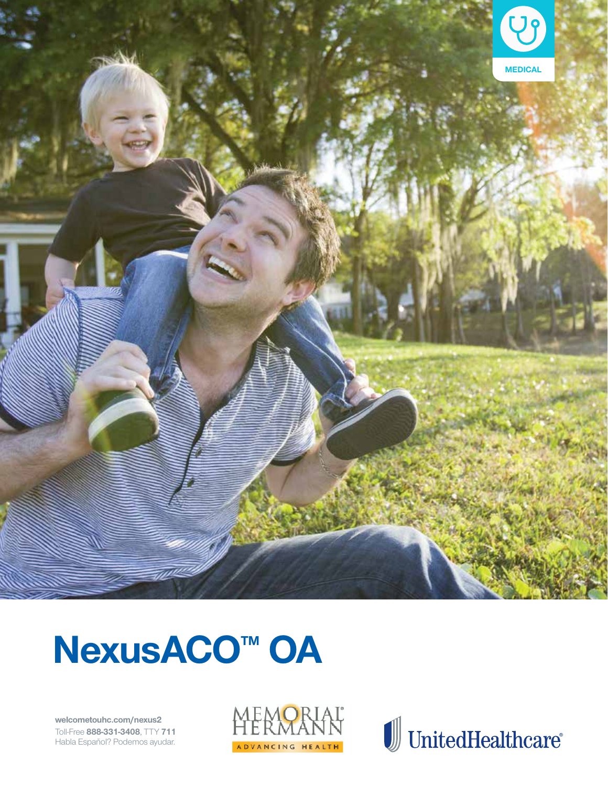

# NexusACO<sup>™</sup> OA

welcometouhc.com/nexus2 Toll-Free 888-331-3408, TTY 711 Habla Español? Podemos ayudar.



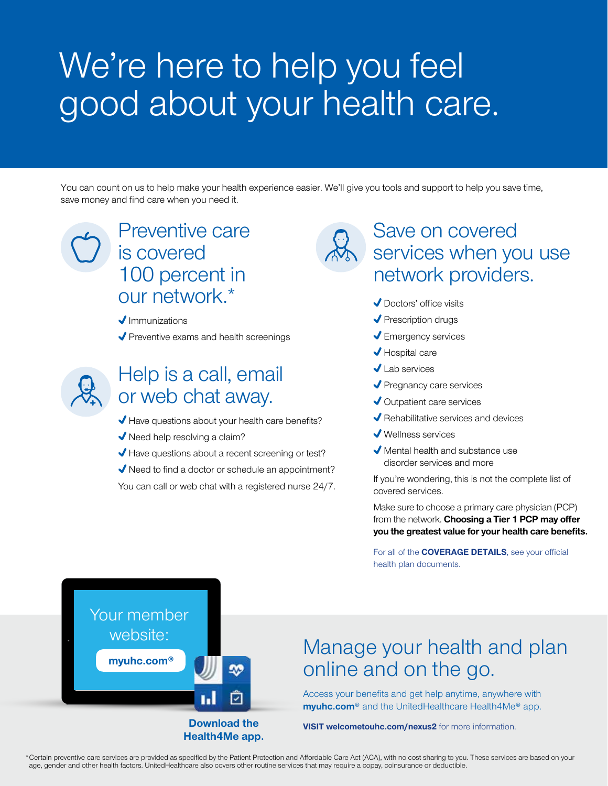## We're here to help you feel good about your health care.

You can count on us to help make your health experience easier. We'll give you tools and support to help you save time, save money and find care when you need it.

## Preventive care is covered 100 percent in our network.\*

 $\blacklozenge$ Immunizations

 $\blacktriangleright$  Preventive exams and health screenings



## Help is a call, email or web chat away.

Have questions about your health care benefits?

◆ Need help resolving a claim?

Have questions about a recent screening or test?

 $\blacklozenge$  Need to find a doctor or schedule an appointment?

You can call or web chat with a registered nurse 24/7.

## Save on covered services when you use network providers.

- ◆ Doctors' office visits
- $\sqrt{\ }$  Prescription drugs
- **↓** Emergency services
- ◆ Hospital care
- Lab services
- ◆ Pregnancy care services
- ◆ Outpatient care services
- ◆ Rehabilitative services and devices
- Wellness services
- Mental health and substance use disorder services and more

If you're wondering, this is not the complete list of covered services.

Make sure to choose a primary care physician (PCP) from the network. **Choosing a Tier 1 PCP may offer you the greatest value for your health care benefits.**

For all of the **COVERAGE DETAILS**, see your official health plan documents.



## Manage your health and plan online and on the go.

Access your benefits and get help anytime, anywhere with **myuhc.com**® and the UnitedHealthcare Health4Me® app.

**VISIT welcometouhc.com/nexus2** for more information.

\*Certain preventive care services are provided as specified by the Patient Protection and Affordable Care Act (ACA), with no cost sharing to you. These services are based on your age, gender and other health factors. UnitedHealthcare also covers other routine services that may require a copay, coinsurance or deductible.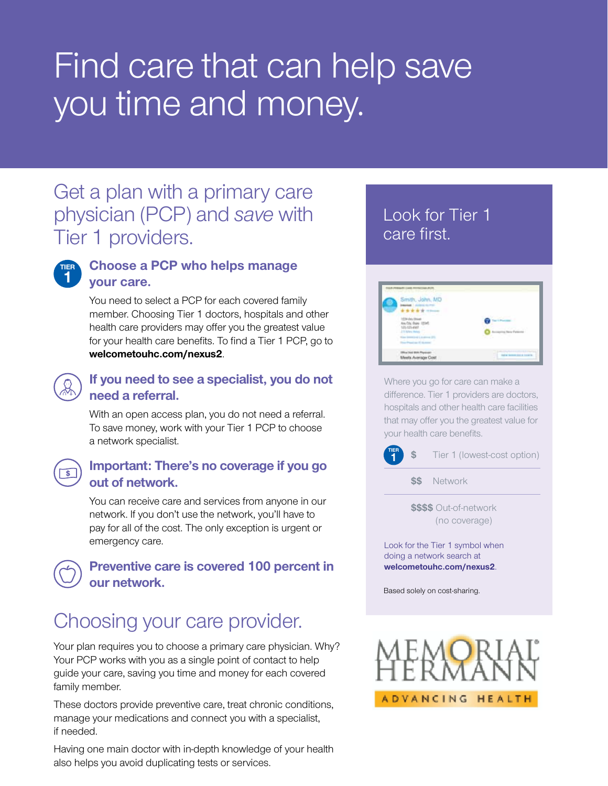## Find care that can help save you time and money.

## Get a plan with a primary care physician (PCP) and *save* with Tier 1 providers.



#### **Choose a PCP who helps manage your care.**

You need to select a PCP for each covered family member. Choosing Tier 1 doctors, hospitals and other health care providers may offer you the greatest value for your health care benefits. To find a Tier 1 PCP, go to **welcometouhc.com/nexus2**.

#### **If you need to see a specialist, you do not need a referral.**

With an open access plan, you do not need a referral. To save money, work with your Tier 1 PCP to choose a network specialist.



#### **Important: There's no coverage if you go out of network.**

You can receive care and services from anyone in our network. If you don't use the network, you'll have to pay for all of the cost. The only exception is urgent or emergency care.

#### **Preventive care is covered 100 percent in our network.**

## Choosing your care provider.

Your plan requires you to choose a primary care physician. Why? Your PCP works with you as a single point of contact to help guide your care, saving you time and money for each covered family member.

These doctors provide preventive care, treat chronic conditions, manage your medications and connect you with a specialist, if needed.

#### Having one main doctor with in-depth knowledge of your health also helps you avoid duplicating tests or services.

### Look for Tier 1 care first.



Where you go for care can make a difference. Tier 1 providers are doctors, hospitals and other health care facilities that may offer you the greatest value for your health care benefits.



**\$\$** Network

**\$\$\$\$** Out-of-network (no coverage)

Look for the Tier 1 symbol when doing a network search at **welcometouhc.com/nexus2**.

Based solely on cost-sharing.

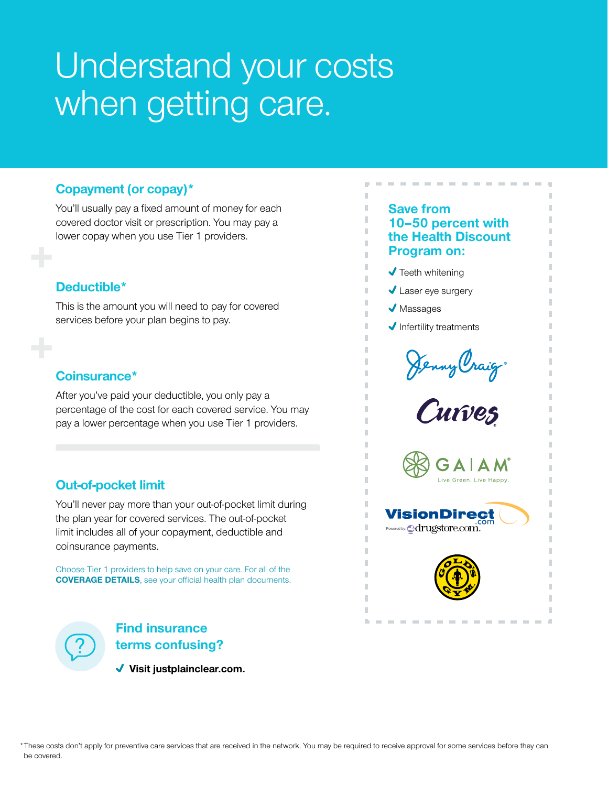## Understand your costs when getting care.

#### **Copayment (or copay)\***

You'll usually pay a fixed amount of money for each covered doctor visit or prescription. You may pay a lower copay when you use Tier 1 providers.

#### **Deductible\***

This is the amount you will need to pay for covered services before your plan begins to pay.

#### **Coinsurance\***

After you've paid your deductible, you only pay a percentage of the cost for each covered service. You may pay a lower percentage when you use Tier 1 providers.

#### **Out-of-pocket limit**

You'll never pay more than your out-of-pocket limit during the plan year for covered services. The out-of-pocket limit includes all of your copayment, deductible and coinsurance payments.

Choose Tier 1 providers to help save on your care. For all of the **COVERAGE DETAILS**, see your official health plan documents.



#### **Find insurance terms confusing?**

 **Visit justplainclear.com.**

#### **Save from 10–50 percent with the Health Discount Program on:**

- $\sqrt{\ }$  Teeth whitening
- ◆ Laser eye surgery
- $\sqrt{\phantom{a}}$  Massages

I. п П

 $\blacklozenge$  Infertility treatments

Jenny Craig.







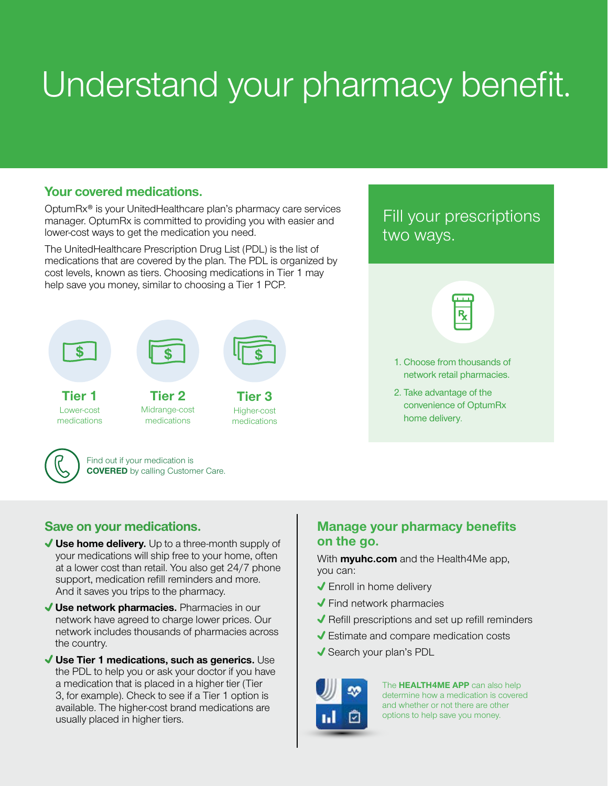# Understand your pharmacy benefit.

#### **Your covered medications.**

OptumRx® is your UnitedHealthcare plan's pharmacy care services manager. OptumRx is committed to providing you with easier and lower-cost ways to get the medication you need.

The UnitedHealthcare Prescription Drug List (PDL) is the list of medications that are covered by the plan. The PDL is organized by cost levels, known as tiers. Choosing medications in Tier 1 may help save you money, similar to choosing a Tier 1 PCP.



#### **Save on your medications.**

- **Use home delivery.** Up to a three-month supply of your medications will ship free to your home, often at a lower cost than retail. You also get 24/7 phone support, medication refill reminders and more. And it saves you trips to the pharmacy.
- **Use network pharmacies.** Pharmacies in our network have agreed to charge lower prices. Our network includes thousands of pharmacies across the country.
- **Use Tier 1 medications, such as generics.** Use the PDL to help you or ask your doctor if you have a medication that is placed in a higher tier (Tier 3, for example). Check to see if a Tier 1 option is available. The higher-cost brand medications are usually placed in higher tiers.

### Fill your prescriptions two ways.



- 1. Choose from thousands of network retail pharmacies.
- 2. Take advantage of the convenience of OptumRx home delivery.

#### **Manage your pharmacy benefits on the go.**

With **myuhc.com** and the Health4Me app, you can:

- Enroll in home delivery
- $\blacktriangleright$  Find network pharmacies
- $\blacktriangledown$  Refill prescriptions and set up refill reminders
- Estimate and compare medication costs
- ◆ Search your plan's PDL



The **HEALTH4ME APP** can also help determine how a medication is covered and whether or not there are other options to help save you money.